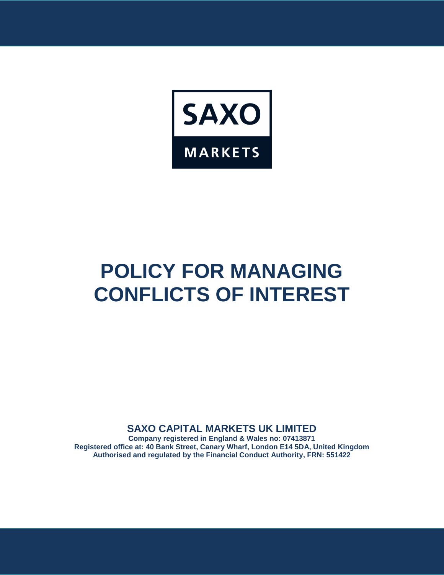

# **POLICY FOR MANAGING CONFLICTS OF INTEREST**

# **SAXO CAPITAL MARKETS UK LIMITED**

**Company registered in England & Wales no: 07413871 Registered office at: 40 Bank Street, Canary Wharf, London E14 5DA, United Kingdom Authorised and regulated by the Financial Conduct Authority, FRN: 551422**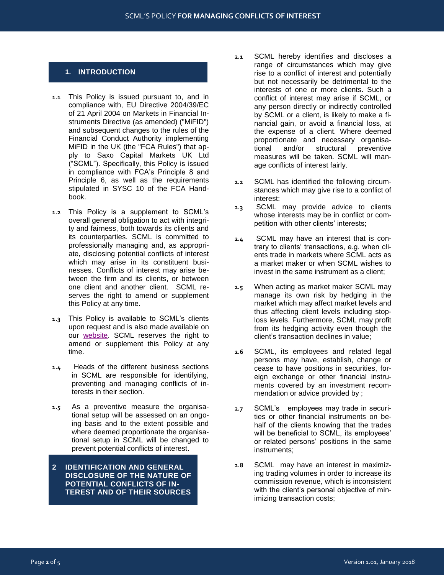## **1. INTRODUCTION**

- **1.1** This Policy is issued pursuant to, and in compliance with, EU Directive 2004/39/EC of 21 April 2004 on Markets in Financial Instruments Directive (as amended) ("MiFID") and subsequent changes to the rules of the Financial Conduct Authority implementing MiFID in the UK (the "FCA Rules") that apply to Saxo Capital Markets UK Ltd ("SCML"). Specifically, this Policy is issued in compliance with FCA's Principle 8 and Principle 6, as well as the requirements stipulated in SYSC 10 of the FCA Handbook.
- **1.2** This Policy is a supplement to SCML's overall general obligation to act with integrity and fairness, both towards its clients and its counterparties. SCML is committed to professionally managing and, as appropriate, disclosing potential conflicts of interest which may arise in its constituent businesses. Conflicts of interest may arise between the firm and its clients, or between one client and another client. SCML reserves the right to amend or supplement this Policy at any time.
- **1.3** This Policy is available to SCML's clients upon request and is also made available on our [website.](https://www.home.saxo/en-gb/legal/legal-documentation/legal-documentation) SCML reserves the right to amend or supplement this Policy at any time.
- **1.4** Heads of the different business sections in SCML are responsible for identifying, preventing and managing conflicts of interests in their section.
- **1.5** As a preventive measure the organisational setup will be assessed on an ongoing basis and to the extent possible and where deemed proportionate the organisational setup in SCML will be changed to prevent potential conflicts of interest.
- **2 IDENTIFICATION AND GENERAL DISCLOSURE OF THE NATURE OF POTENTIAL CONFLICTS OF IN-TEREST AND OF THEIR SOURCES**

Version 1.01, January 2018dfsgfdssdfgsVersion

- **2.1** SCML hereby identifies and discloses a range of circumstances which may give rise to a conflict of interest and potentially but not necessarily be detrimental to the interests of one or more clients. Such a conflict of interest may arise if SCML, or any person directly or indirectly controlled by SCML or a client, is likely to make a financial gain, or avoid a financial loss, at the expense of a client. Where deemed proportionate and necessary organisapreventive measures will be taken. SCML will manage conflicts of interest fairly.
- **2.2** SCML has identified the following circumstances which may give rise to a conflict of interest:
- **2.3** SCML may provide advice to clients whose interests may be in conflict or competition with other clients' interests;
- **2.4** SCML may have an interest that is contrary to clients' transactions, e.g. when clients trade in markets where SCML acts as a market maker or when SCML wishes to invest in the same instrument as a client;
- **2.5** When acting as market maker SCML may manage its own risk by hedging in the market which may affect market levels and thus affecting client levels including stoploss levels. Furthermore, SCML may profit from its hedging activity even though the client's transaction declines in value;
- **2.6** SCML, its employees and related legal persons may have, establish, change or cease to have positions in securities, foreign exchange or other financial instruments covered by an investment recommendation or advice provided by ;
- **2.7** SCML's employees may trade in securities or other financial instruments on behalf of the clients knowing that the trades will be beneficial to SCML, its employees' or related persons' positions in the same instruments;
- **2.8** SCML may have an interest in maximizing trading volumes in order to increase its commission revenue, which is inconsistent with the client's personal objective of minimizing transaction costs;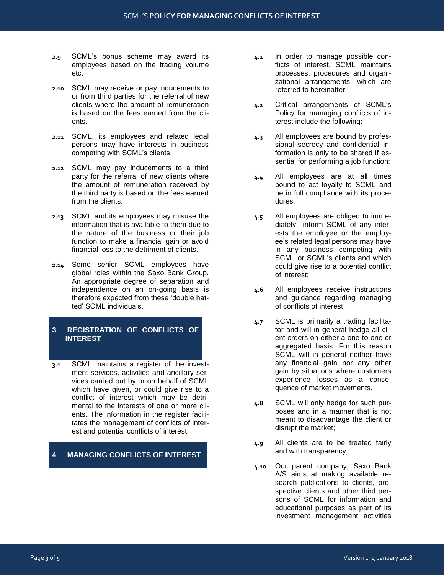- **2.9** SCML's bonus scheme may award its employees based on the trading volume etc.
- **2.10** SCML may receive or pay inducements to or from third parties for the referral of new clients where the amount of remuneration is based on the fees earned from the clients.
- **2.11** SCML, its employees and related legal persons may have interests in business competing with SCML's clients.
- **2.12** SCML may pay inducements to a third party for the referral of new clients where the amount of remuneration received by the third party is based on the fees earned from the clients.
- **2.13** SCML and its employees may misuse the information that is available to them due to the nature of the business or their job function to make a financial gain or avoid financial loss to the detriment of clients.
- **2.14** Some senior SCML employees have global roles within the Saxo Bank Group. An appropriate degree of separation and independence on an on-going basis is therefore expected from these 'double hatted' SCML individuals.

### **3 REGISTRATION OF CONFLICTS OF INTEREST**

**3.1** SCML maintains a register of the investment services, activities and ancillary services carried out by or on behalf of SCML which have given, or could give rise to a conflict of interest which may be detrimental to the interests of one or more clients. The information in the register facilitates the management of conflicts of interest and potential conflicts of interest.

### **4 MANAGING CONFLICTS OF INTEREST**

- **4.1** In order to manage possible conflicts of interest, SCML maintains processes, procedures and organizational arrangements, which are referred to hereinafter.
- **4.2** Critical arrangements of SCML's Policy for managing conflicts of interest include the following:
- **4.3** All employees are bound by professional secrecy and confidential information is only to be shared if essential for performing a job function;
- **4.4** All employees are at all times bound to act loyally to SCML and be in full compliance with its procedures;
- **4.5** All employees are obliged to immediately inform SCML of any interests the employee or the employee's related legal persons may have in any business competing with SCML or SCML's clients and which could give rise to a potential conflict of interest;
- **4.6** All employees receive instructions and guidance regarding managing of conflicts of interest;
- **4.7** SCML is primarily a trading facilitator and will in general hedge all client orders on either a one-to-one or aggregated basis. For this reason SCML will in general neither have any financial gain nor any other gain by situations where customers experience losses as a consequence of market movements.
- **4.8** SCML will only hedge for such purposes and in a manner that is not meant to disadvantage the client or disrupt the market;
- **4.9** All clients are to be treated fairly and with transparency;
- **4.10** Our parent company, Saxo Bank A/S aims at making available research publications to clients, prospective clients and other third persons of SCML for information and educational purposes as part of its investment management activities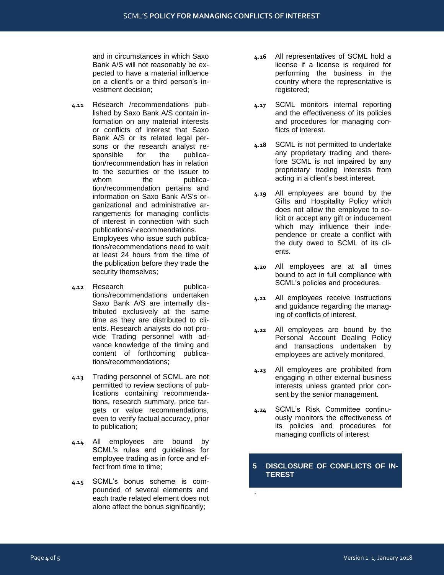and in circumstances in which Saxo Bank A/S will not reasonably be expected to have a material influence on a client's or a third person's investment decision;

- **4.11** Research /recommendations published by Saxo Bank A/S contain information on any material interests or conflicts of interest that Saxo Bank A/S or its related legal persons or the research analyst responsible for the publication/recommendation has in relation to the securities or the issuer to whom the publication/recommendation pertains and information on Saxo Bank A/S's organizational and administrative arrangements for managing conflicts of interest in connection with such publications/¬recommendations. Employees who issue such publications/recommendations need to wait at least 24 hours from the time of the publication before they trade the security themselves;
- **4.12** Research publications/recommendations undertaken Saxo Bank A/S are internally distributed exclusively at the same time as they are distributed to clients. Research analysts do not provide Trading personnel with advance knowledge of the timing and content of forthcoming publications/recommendations;
- **4.13** Trading personnel of SCML are not permitted to review sections of publications containing recommendations, research summary, price targets or value recommendations, even to verify factual accuracy, prior to publication;
- **4.14** All employees are bound by SCML's rules and guidelines for employee trading as in force and effect from time to time;
- **4.15** SCML's bonus scheme is compounded of several elements and each trade related element does not alone affect the bonus significantly;
- **4.16** All representatives of SCML hold a license if a license is required for performing the business in the country where the representative is registered;
- **4.17** SCML monitors internal reporting and the effectiveness of its policies and procedures for managing conflicts of interest.
- **4.18** SCML is not permitted to undertake any proprietary trading and therefore SCML is not impaired by any proprietary trading interests from acting in a client's best interest.
- **4.19** All employees are bound by the Gifts and Hospitality Policy which does not allow the employee to solicit or accept any gift or inducement which may influence their independence or create a conflict with the duty owed to SCML of its clients.
- **4.20** All employees are at all times bound to act in full compliance with SCML's policies and procedures.
- **4.21** All employees receive instructions and guidance regarding the managing of conflicts of interest.
- **4.22** All employees are bound by the Personal Account Dealing Policy and transactions undertaken by employees are actively monitored.
- **4.23** All employees are prohibited from engaging in other external business interests unless granted prior consent by the senior management.
- **4.24** SCML's Risk Committee continuously monitors the effectiveness of its policies and procedures for managing conflicts of interest

#### **5 DISCLOSURE OF CONFLICTS OF IN-TEREST**

.